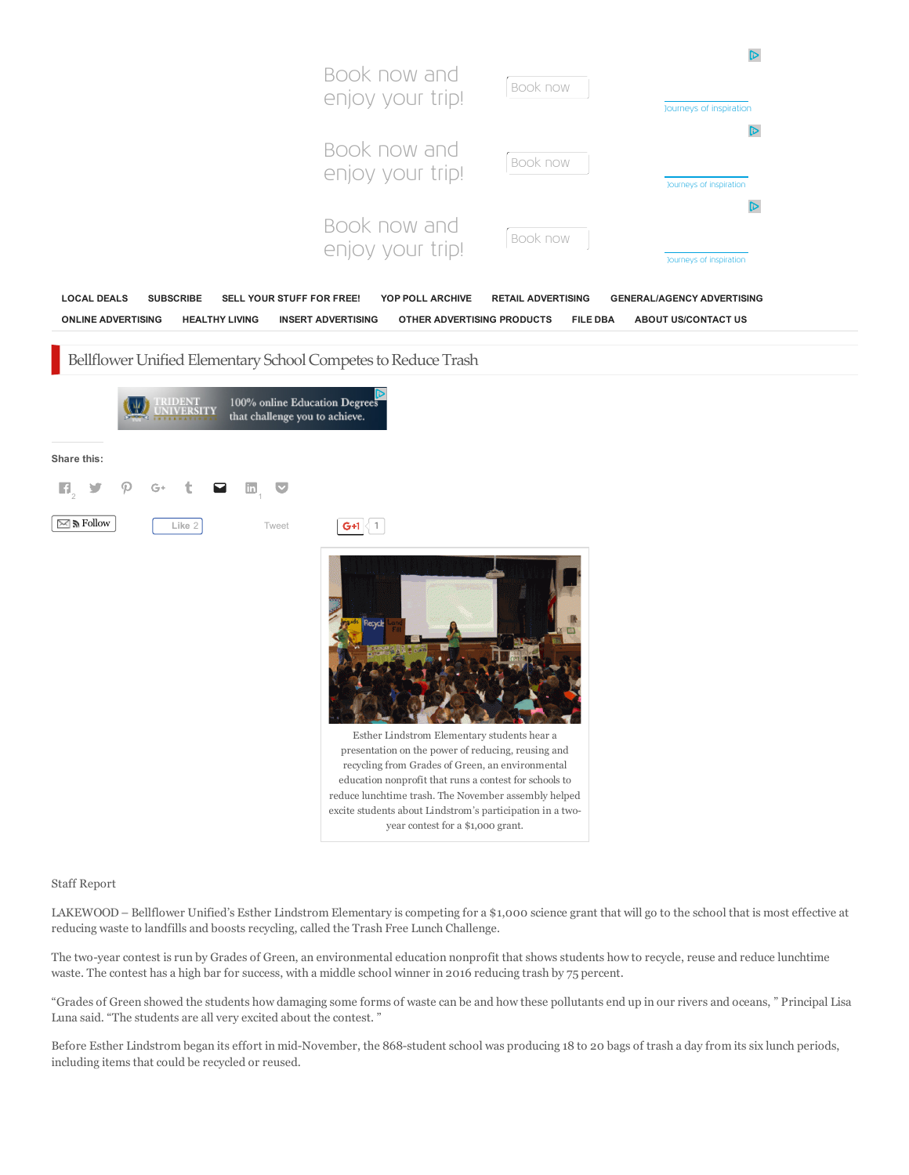|                                                                                                                                                                      | Book now and<br>enjoy your trip!                                                                                                                                                                                                                                                                                                                                                                         | Book now                                     | D<br>Journeys of inspiration                                    |
|----------------------------------------------------------------------------------------------------------------------------------------------------------------------|----------------------------------------------------------------------------------------------------------------------------------------------------------------------------------------------------------------------------------------------------------------------------------------------------------------------------------------------------------------------------------------------------------|----------------------------------------------|-----------------------------------------------------------------|
|                                                                                                                                                                      | Book now and<br>enjoy your trip!                                                                                                                                                                                                                                                                                                                                                                         | Book now                                     | D<br>Journeys of inspiration<br>D                               |
|                                                                                                                                                                      | Book now and<br>enjoy your trip!                                                                                                                                                                                                                                                                                                                                                                         | Book now                                     | Journeys of inspiration                                         |
| <b>LOCAL DEALS</b><br><b>SUBSCRIBE</b><br>SELL YOUR STUFF FOR FREE!<br><b>ONLINE ADVERTISING</b><br><b>HEALTHY LIVING</b>                                            | YOP POLL ARCHIVE<br><b>INSERT ADVERTISING</b><br>OTHER ADVERTISING PRODUCTS                                                                                                                                                                                                                                                                                                                              | <b>RETAIL ADVERTISING</b><br><b>FILE DBA</b> | <b>GENERAL/AGENCY ADVERTISING</b><br><b>ABOUT US/CONTACT US</b> |
| Bellflower Unified Elementary School Competes to Reduce Trash<br>100% online Education Degrees<br><u>UDENT</u><br><b>IIVERSITY</b><br>that challenge you to achieve. |                                                                                                                                                                                                                                                                                                                                                                                                          |                                              |                                                                 |
| Share this:                                                                                                                                                          |                                                                                                                                                                                                                                                                                                                                                                                                          |                                              |                                                                 |
| $\mathbf{H}_\circ$<br>in,<br>ा <mark>∀</mark><br>G+                                                                                                                  |                                                                                                                                                                                                                                                                                                                                                                                                          |                                              |                                                                 |
| $\boxtimes$ in Follow<br>Like 2<br>Tweet                                                                                                                             | $\mathsf{G}$ +1 $\langle$ 1<br>Esther Lindstrom Elementary students hear a<br>presentation on the power of reducing, reusing and<br>recycling from Grades of Green, an environmental<br>education nonprofit that runs a contest for schools to<br>reduce lunchtime trash. The November assembly helped<br>excite students about Lindstrom's participation in a two-<br>year contest for a \$1,000 grant. |                                              |                                                                 |

Staff Report

LAKEWOOD – Bellflower Unified's Esther Lindstrom Elementary is competing for a \$1,000 science grant that will go to the school that is most effective at reducing waste to landfills and boosts recycling, called the Trash Free Lunch Challenge.

The two-year contest is run by Grades of Green, an environmental education nonprofit that shows students how to recycle, reuse and reduce lunchtime waste. The contest has a high bar for success, with a middle school winner in 2016 reducing trash by 75 percent.

"Grades of Green showed the students how damaging some forms of waste can be and how these pollutants end up in our rivers and oceans, " Principal Lisa Luna said. "The students are all very excited about the contest. "

Before Esther Lindstrom began its effort in mid-November, the 868-student school was producing 18 to 20 bags of trash a day from its six lunch periods, including items that could be recycled or reused.